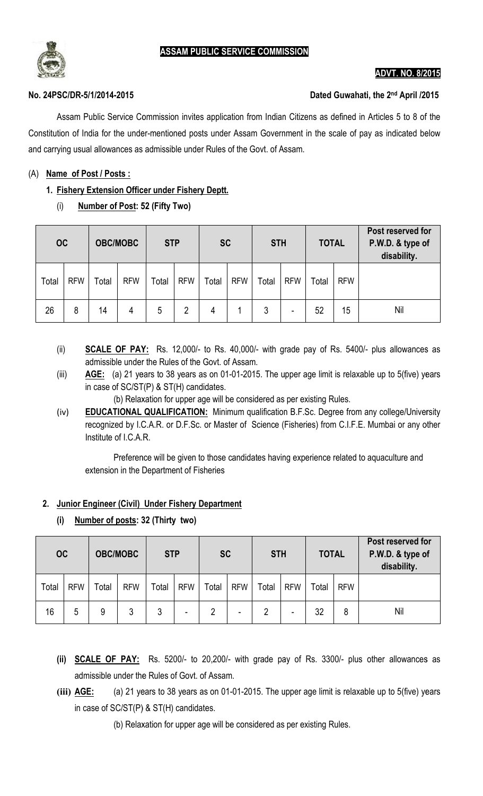

## **ADVT. NO. 8/201 2015**

#### **No. 24PSC/DR-5/1/2014-2015**

#### **Dated Guwahati, the 2nd April /201 /2015**

Assam Public Service Commission invites application from Indian Citizens as defined in Articles 5 to 8 of the Assam Public Service Commission invites application from Indian Citizens as defined in Articles 5 to 8 of the<br>Constitution of India for the under-mentioned posts under Assam Government in the scale of pay as indicated belo and carrying usual allowances as admissible under Rules of the Govt. of Assam. Govt. of Assam.

### (A) **Name of Post / Posts :**

## **1. Fishery Extension Officer under Fi Fishery Deptt.**

(i) **Number of Post: 52 (Fifty Two)**

| <b>OC</b> |            | <b>OBC/MOBC</b> |            | <b>STP</b> |            | <b>SC</b> |            | <b>STH</b> |            | <b>TOTAL</b> |            | Post reserved for<br>P.W.D. & type of<br>disability. |
|-----------|------------|-----------------|------------|------------|------------|-----------|------------|------------|------------|--------------|------------|------------------------------------------------------|
| Total     | <b>RFW</b> | Total           | <b>RFW</b> | Total      | <b>RFW</b> | Total     | <b>RFW</b> | Total      | <b>RFW</b> | Total        | <b>RFW</b> |                                                      |
| 26        | 8          | 14              | 4          | 5          | 2          | 4         |            | 3          | -          | 52           | 15         | Nil                                                  |

- (ii) **SCALE OF PAY:** Rs. 12,000/- to Rs. 40,000/- with grade pay of Rs. 5400/- plus allowances as admissible under the Rules of the Govt. of Assam.
- (iii) **AGE:** (a) 21 years to 38 years as on 01-01-2015. The upper age limit is relaxable up to 5(five) years in case of SC/ST(P) & ST(H) candidates.
	- (b) Relaxation for upper age will be considered as per existing Rules considered as per existing Rules.
- (iv) **EDUCATIONAL QUALIFICATION:** Minimum qualification B.F.Sc. Degree from any college/University recognized by I.C.A.R. or D.F.Sc. or Master of Science (Fisheries) from C.I.F.E. Mumbai or any other Institute of I.C.A.R I.C.A.R.

Preference will be given to those candidates having experience related to aquaculture and<br>extension in the Department of Fisheries extension in the Department of Fisheries

#### **2. Junior Engineer (Civil) Under Fishery Department**

**(i) Number of posts: 32 (Thirty two)**

| <b>OC</b> |            | <b>OBC/MOBC</b> |            | <b>STP</b> |            | <b>SC</b>      |            | <b>STH</b> |            | <b>TOTAL</b> |            | Post reserved for<br>P.W.D. & type of<br>disability. |
|-----------|------------|-----------------|------------|------------|------------|----------------|------------|------------|------------|--------------|------------|------------------------------------------------------|
| Total     | <b>RFW</b> | Total           | <b>RFW</b> | Total      | <b>RFW</b> | Total          | <b>RFW</b> | Total      | <b>RFW</b> | Total        | <b>RFW</b> |                                                      |
| 16        | 5          | 9               | 3          | 3          | -          | $\overline{2}$ | ۰          | 2          | -          | 32           | 8          | Nil                                                  |

- (ii) **SCALE OF PAY:** Rs. 5200/- to 20,200/- with grade pay of Rs. 3300/- plus other allowances as admissible under the Rules of Govt. of Assam.
- (iii) **AGE:** (a) 21 years to 38 years as on 01-01-2015. The upper age limit is relaxable up to 5(five) years in case of SC/ST(P) & ST(H) candidates.<br>(b) Relaxation for upper age will be considered as per existing Rules. in case of SC/ST(P) & ST(H) candidates. in case of SC/ST(P) & ST(H) candidates.<br>(b) Relaxation for upper age will be considered as per existing Rules.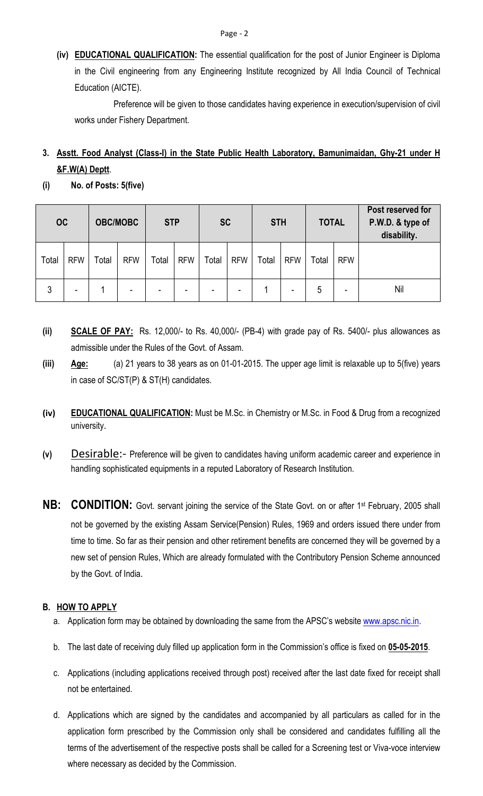**(iv) EDUCATIONAL QUALIFICATION:** The essential qualification for the post of Junior Engineer is Diploma in the Civil engineering from any Engineering Institute recognized by All India Council of Technical Education (AICTE).

Preference will be given to those candidates having experience in execution/supervision of civil works under Fishery Department.

# **3. Asstt. Food Analyst (Class-I) in the State Public Health Laboratory, Bamunimaidan, Ghy-21 under H &F.W(A) Deptt**.

**(i) No. of Posts: 5(five)** 

| <b>OC</b> |            | <b>OBC/MOBC</b> |            | <b>STP</b> |            | <b>SC</b>                |            | <b>STH</b> |                          | <b>TOTAL</b> |                          | Post reserved for<br>P.W.D. & type of<br>disability. |
|-----------|------------|-----------------|------------|------------|------------|--------------------------|------------|------------|--------------------------|--------------|--------------------------|------------------------------------------------------|
| Total     | <b>RFW</b> | Total           | <b>RFW</b> | Total      | <b>RFW</b> | Total                    | <b>RFW</b> | Total      | <b>RFW</b>               | Total        | <b>RFW</b>               |                                                      |
| 3         | -          |                 | $\,$       | -          | ۰          | $\overline{\phantom{0}}$ | ۰          |            | $\overline{\phantom{a}}$ | 5            | $\overline{\phantom{0}}$ | Nil                                                  |

- **(ii) SCALE OF PAY:** Rs. 12,000/- to Rs. 40,000/- (PB-4) with grade pay of Rs. 5400/- plus allowances as admissible under the Rules of the Govt. of Assam.
- **(iii) Age:** (a) 21 years to 38 years as on 01-01-2015. The upper age limit is relaxable up to 5(five) years in case of SC/ST(P) & ST(H) candidates.
- **(iv) EDUCATIONAL QUALIFICATION:** Must be M.Sc. in Chemistry or M.Sc. in Food & Drug from a recognized university.
- **(v)** Desirable:- Preference will be given to candidates having uniform academic career and experience in handling sophisticated equipments in a reputed Laboratory of Research Institution.
- **NB: CONDITION:** Govt. servant joining the service of the State Govt. on or after 1<sup>st</sup> February, 2005 shall not be governed by the existing Assam Service(Pension) Rules, 1969 and orders issued there under from time to time. So far as their pension and other retirement benefits are concerned they will be governed by a new set of pension Rules, Which are already formulated with the Contributory Pension Scheme announced by the Govt. of India.

## **B. HOW TO APPLY**

- a. Application form may be obtained by downloading the same from the APSC's website www.apsc.nic.in.
- b. The last date of receiving duly filled up application form in the Commission's office is fixed on **05-05-2015**.
- c. Applications (including applications received through post) received after the last date fixed for receipt shall not be entertained.
- d. Applications which are signed by the candidates and accompanied by all particulars as called for in the application form prescribed by the Commission only shall be considered and candidates fulfilling all the terms of the advertisement of the respective posts shall be called for a Screening test or Viva-voce interview where necessary as decided by the Commission.